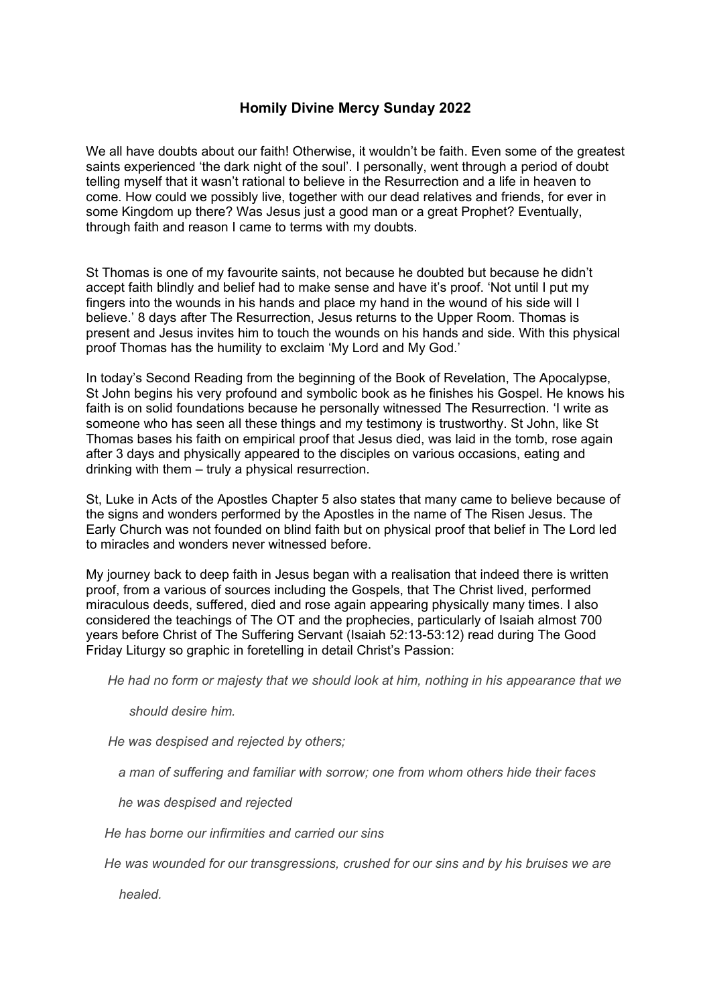## **Homily Divine Mercy Sunday 2022**

We all have doubts about our faith! Otherwise, it wouldn't be faith. Even some of the greatest saints experienced 'the dark night of the soul'. I personally, went through a period of doubt telling myself that it wasn't rational to believe in the Resurrection and a life in heaven to come. How could we possibly live, together with our dead relatives and friends, for ever in some Kingdom up there? Was Jesus just a good man or a great Prophet? Eventually, through faith and reason I came to terms with my doubts.

St Thomas is one of my favourite saints, not because he doubted but because he didn't accept faith blindly and belief had to make sense and have it's proof. 'Not until I put my fingers into the wounds in his hands and place my hand in the wound of his side will I believe.' 8 days after The Resurrection, Jesus returns to the Upper Room. Thomas is present and Jesus invites him to touch the wounds on his hands and side. With this physical proof Thomas has the humility to exclaim 'My Lord and My God.'

In today's Second Reading from the beginning of the Book of Revelation, The Apocalypse, St John begins his very profound and symbolic book as he finishes his Gospel. He knows his faith is on solid foundations because he personally witnessed The Resurrection. 'I write as someone who has seen all these things and my testimony is trustworthy. St John, like St Thomas bases his faith on empirical proof that Jesus died, was laid in the tomb, rose again after 3 days and physically appeared to the disciples on various occasions, eating and drinking with them – truly a physical resurrection.

St, Luke in Acts of the Apostles Chapter 5 also states that many came to believe because of the signs and wonders performed by the Apostles in the name of The Risen Jesus. The Early Church was not founded on blind faith but on physical proof that belief in The Lord led to miracles and wonders never witnessed before.

My journey back to deep faith in Jesus began with a realisation that indeed there is written proof, from a various of sources including the Gospels, that The Christ lived, performed miraculous deeds, suffered, died and rose again appearing physically many times. I also considered the teachings of The OT and the prophecies, particularly of Isaiah almost 700 years before Christ of The Suffering Servant (Isaiah 52:13-53:12) read during The Good Friday Liturgy so graphic in foretelling in detail Christ's Passion:

*He had no form or majesty that we should look at him, nothing in his appearance that we*

*should desire him.*

 *He was despised and rejected by others;*

*a man of suffering and familiar with sorrow; one from whom others hide their faces*

*he was despised and rejected*

 *He has borne our infirmities and carried our sins*

 *He was wounded for our transgressions, crushed for our sins and by his bruises we are* 

 *healed.*